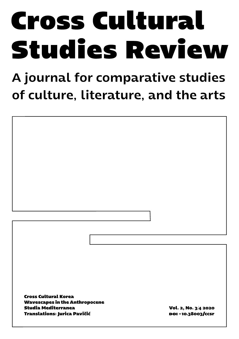# **Cross Cultural Studies Review**

# A journal for comparative studies of culture, literature, and the arts

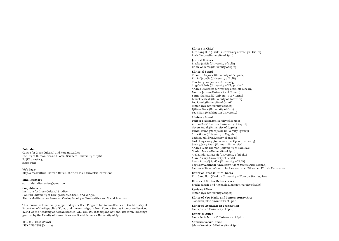#### **Publisher**

Centre for Cross-Cultural and Korean Studies Faculty of Humanities and Social Sciences, University of Split Poljička cesta 35 21000 Split

**Web Page:**  http://crosscultural-korean.ffst.unist.hr/cross-culturalstudiesreview/

**Email contact:**  culturalstudiesreview@gmail.com

#### **Co-publishers**

Institute for Cross-Cultural Studies Hankuk University of Foreign Studies, Seoul and Yongin Studia Mediterranea Research Centre, Faculty of Humanities and Social Sciences

This journal is financially supported by the Seed Program for Korean Studies of the Ministry of Education of the Republic of Korea and the annual grant from Korean Studies Promotion Services (KSPS) of the Academy of Korean Studies (AKS-2018-INC-2230010).and National Research Fundings granted by the Faculty of Humanities and Social Sciences, University of Split.

**ISSN** 2671-065X (Print) **ISSN** 2718-2509 (Online) **Editors in Chief**

Kim Sang Hun (Hankuk University of Foreign Studies) Boris Škvorc (University of Split)

#### **Journal Editors**

Srećko Jurišić (University of Split) Brian Willems (University of Split)

#### **Editorial Board**

Tihomir Brajović (University of Belgrade) Eni Buljubašić (University of Split) Cho Kang Sok (Yonsei University) Angela Fabris (University of Klagenfurt) Andrea Gialloreto (University of Chieti-Pescara) Monica Jansen (University of Utrecht) Bernarda Katušić (University of Vienna) Leszek Malcak (University of Katowice) Leo Rafolt (University of Osijek) Simon Ryle (University of Split) Ljiljana Šarić (University of Oslo) Lee Ji-Eun (Washington University)

#### **Advisory Board**

Dalibor Blažina (University of Zagreb) Zrinka Božić Blanuša (University of Zagreb) Neven Budak (University of Zagreb) Daniel Dzino (Macquarie University, Sydney) Stipe Grgas (University of Zagreb) Tatjana Jukić (University of Zagreb) Park, Jongseong (Korea National Open University) Soung, Jung Keun (Hannam University) Andrea Lešić Thomas (University of Sarajevo) Gordan Matas (University of Split) Aleksandar Mijatović (University of Rijeka) Alan O'Leary (University of Leeds) Ivana Prijatelj Pavičić (University of Split) Boguslav Zielinski (University Adam Mickiewicz, Poznan) Laurence Rickels (Staatliche Akademie der Bildenden Künste Karlsruhe)

**Editor of Cross-Cultural Korea** Kim Sang Hun (Hankuk University of Foreign Studies, Seoul)

**Editors of Studia Mediterranea** Srećko Jurišić and Antonela Marić (University of Split)

**Reviews Editor** Simon Ryle (University of Split)

**Editor of New Media and Contemporary Arts** Slobodan Jokić (University of Split)

**Editor of Literature in Translation** Paula Jurišić (University of Split)

**Editorial Office** Ivona Zebić Mitrović (University of Split)

**Administrative Office:** Jelena Novaković (University of Split)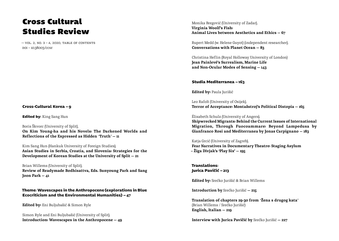# Cross Cultural Studies Review

 $-$  VOL. 2, NO. 3 - 4, 2020, TABLE OF CONTENTS doi – 10.38003/ccsr

## **Cross-Cultural Korea — 9**

**Edited by:** King Sang Hun

Boris Škvorc (University of Split), On Kim Young-ha and his Novels: The Darkened Worlds and Reflections of the Expressed as Hidden *"*Truth*"* — 11

Kim Sang Hun (Hankuk University of Foreign Studies), Asian Studies in Serbia, Croatia, and Slovenia: Strategies for the Development of Korean Studies at the University of Split — 21

Brian Willems (University of Split), Review of Readymade Bodhisattva, Eds. Sunyoung Park and Sang Joon Park — 41

**Theme: Wavescapes in the Anthropocene (explorations in Blue Ecocriticism and the Environmental Humanities) — 47**

Edited by: Eni Buljubašić & Simon Ryle

Simon Ryle and Eni Buljubašić (University of Split), Introduction: Wavescapes in the Anthropocene — 49

Monika Bregović (University of Zadar), Virginia Woolf's Fish: Animal Lives between Aesthetics and Ethics — 67

Rupert Medd (w. Helene Guyot) (independent researcher), Conversations with Planet Ocean — 83

Christina Heflin (Royal Holloway University of London) Jean Painlevé's Surrealism, Marine Life and Non-Ocular Modes of Sensing — 143

**Studia Mediterranea — 163**

Edited by: Paula Jurišić

Leo Rafolt (University of Osijek), Terror of Acceptance: Montažstroj's Political Distopia — 165

Élisabeth Schulz (University of Angers), Shipwrecked Migrants: Behind the Current Issues of International

Migration, Through Fuocoammare: Beyond Lampedusa by Gianfranco Rosi and Mediterranea by Jonas Carpignano — 183

Katja Grcić (University of Zagreb), Fear Narratives in Documentary Theatre: Staging Asylum – Žiga Divjak's 'Play Six' — 195

**Translations: Jurica Pavičić — 213**

Edited by: Srećko Jurišić & Brian Willems

Introduction by Srećko Jurišić — 215

Translation of chapters 29-30 from *"*Žena s drugog kata*"* (Brian Willems / Srećko Jurišić) English, Italian — 219

Interview with Jurica Pavičić by Srećko Jurišić — 227